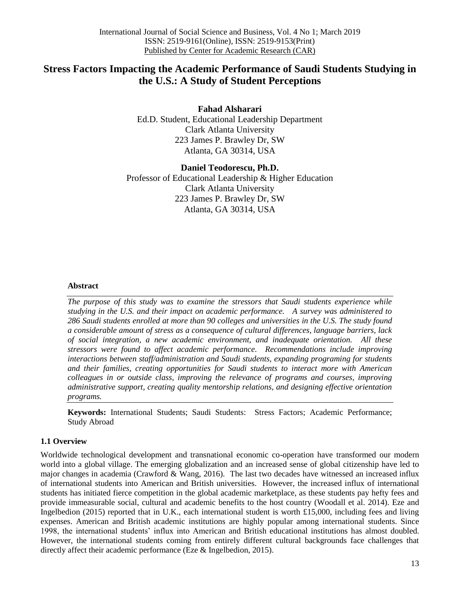# **Stress Factors Impacting the Academic Performance of Saudi Students Studying in the U.S.: A Study of Student Perceptions**

**Fahad Alsharari** Ed.D. Student, Educational Leadership Department Clark Atlanta University 223 James P. Brawley Dr, SW Atlanta, GA 30314, USA

**Daniel Teodorescu, Ph.D.** Professor of Educational Leadership & Higher Education Clark Atlanta University 223 James P. Brawley Dr, SW Atlanta, GA 30314, USA

## **Abstract**

*The purpose of this study was to examine the stressors that Saudi students experience while studying in the U.S. and their impact on academic performance. A survey was administered to 286 Saudi students enrolled at more than 90 colleges and universities in the U.S. The study found a considerable amount of stress as a consequence of cultural differences, language barriers, lack of social integration, a new academic environment, and inadequate orientation. All these stressors were found to affect academic performance. Recommendations include improving interactions between staff/administration and Saudi students, expanding programing for students and their families, creating opportunities for Saudi students to interact more with American colleagues in or outside class, improving the relevance of programs and courses, improving administrative support, creating quality mentorship relations, and designing effective orientation programs.*

**Keywords:** International Students; Saudi Students: Stress Factors; Academic Performance; Study Abroad

## **1.1 Overview**

Worldwide technological development and transnational economic co-operation have transformed our modern world into a global village. The emerging globalization and an increased sense of global citizenship have led to major changes in academia (Crawford & Wang, 2016). The last two decades have witnessed an increased influx of international students into American and British universities. However, the increased influx of international students has initiated fierce competition in the global academic marketplace, as these students pay hefty fees and provide immeasurable social, cultural and academic benefits to the host country (Woodall et al. 2014). Eze and Ingelbedion (2015) reported that in U.K., each international student is worth £15,000, including fees and living expenses. American and British academic institutions are highly popular among international students. Since 1998, the international students' influx into American and British educational institutions has almost doubled. However, the international students coming from entirely different cultural backgrounds face challenges that directly affect their academic performance (Eze & Ingelbedion, 2015).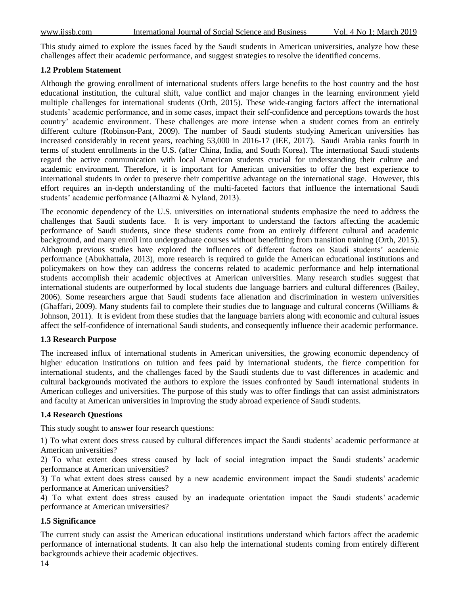This study aimed to explore the issues faced by the Saudi students in American universities, analyze how these challenges affect their academic performance, and suggest strategies to resolve the identified concerns.

## **1.2 Problem Statement**

Although the growing enrollment of international students offers large benefits to the host country and the host educational institution, the cultural shift, value conflict and major changes in the learning environment yield multiple challenges for international students (Orth, 2015). These wide-ranging factors affect the international students' academic performance, and in some cases, impact their self-confidence and perceptions towards the host country' academic environment. These challenges are more intense when a student comes from an entirely different culture (Robinson-Pant, 2009). The number of Saudi students studying American universities has increased considerably in recent years, reaching 53,000 in 2016-17 (IEE, 2017). Saudi Arabia ranks fourth in terms of student enrollments in the U.S. (after China, India, and South Korea). The international Saudi students regard the active communication with local American students crucial for understanding their culture and academic environment. Therefore, it is important for American universities to offer the best experience to international students in order to preserve their competitive advantage on the international stage. However, this effort requires an in-depth understanding of the multi-faceted factors that influence the international Saudi students' academic performance (Alhazmi & Nyland, 2013).

The economic dependency of the U.S. universities on international students emphasize the need to address the challenges that Saudi students face. It is very important to understand the factors affecting the academic performance of Saudi students, since these students come from an entirely different cultural and academic background, and many enroll into undergraduate courses without benefitting from transition training (Orth, 2015). Although previous studies have explored the influences of different factors on Saudi students' academic performance (Abukhattala, 2013), more research is required to guide the American educational institutions and policymakers on how they can address the concerns related to academic performance and help international students accomplish their academic objectives at American universities. Many research studies suggest that international students are outperformed by local students due language barriers and cultural differences (Bailey, 2006). Some researchers argue that Saudi students face alienation and discrimination in western universities (Ghaffari, 2009). Many students fail to complete their studies due to language and cultural concerns (Williams & Johnson, 2011). It is evident from these studies that the language barriers along with economic and cultural issues affect the self-confidence of international Saudi students, and consequently influence their academic performance.

## **1.3 Research Purpose**

The increased influx of international students in American universities, the growing economic dependency of higher education institutions on tuition and fees paid by international students, the fierce competition for international students, and the challenges faced by the Saudi students due to vast differences in academic and cultural backgrounds motivated the authors to explore the issues confronted by Saudi international students in American colleges and universities. The purpose of this study was to offer findings that can assist administrators and faculty at American universities in improving the study abroad experience of Saudi students.

## **1.4 Research Questions**

This study sought to answer four research questions:

1) To what extent does stress caused by cultural differences impact the Saudi students' academic performance at American universities?

2) To what extent does stress caused by lack of social integration impact the Saudi students' academic performance at American universities?

3) To what extent does stress caused by a new academic environment impact the Saudi students' academic performance at American universities?

4) To what extent does stress caused by an inadequate orientation impact the Saudi students' academic performance at American universities?

# **1.5 Significance**

The current study can assist the American educational institutions understand which factors affect the academic performance of international students. It can also help the international students coming from entirely different backgrounds achieve their academic objectives.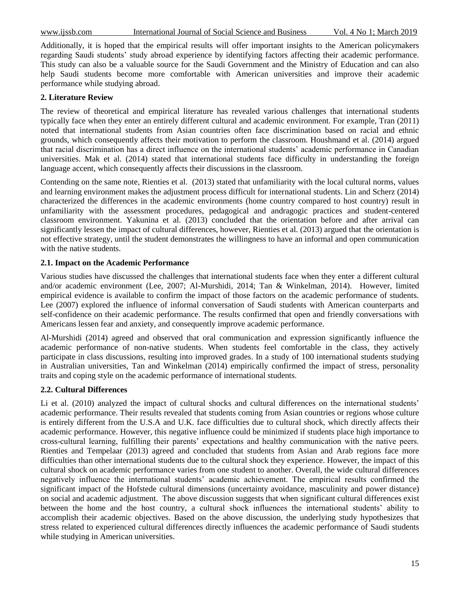Additionally, it is hoped that the empirical results will offer important insights to the American policymakers regarding Saudi students' study abroad experience by identifying factors affecting their academic performance. This study can also be a valuable source for the Saudi Government and the Ministry of Education and can also help Saudi students become more comfortable with American universities and improve their academic performance while studying abroad.

#### **2. Literature Review**

The review of theoretical and empirical literature has revealed various challenges that international students typically face when they enter an entirely different cultural and academic environment. For example, Tran (2011) noted that international students from Asian countries often face discrimination based on racial and ethnic grounds, which consequently affects their motivation to perform the classroom. Houshmand et al. (2014) argued that racial discrimination has a direct influence on the international students' academic performance in Canadian universities. Mak et al. (2014) stated that international students face difficulty in understanding the foreign language accent, which consequently affects their discussions in the classroom.

Contending on the same note, Rienties et al. (2013) stated that unfamiliarity with the local cultural norms, values and learning environment makes the adjustment process difficult for international students. Lin and Scherz (2014) characterized the differences in the academic environments (home country compared to host country) result in unfamiliarity with the assessment procedures, pedagogical and andragogic practices and student-centered classroom environment. Yakunina et al. (2013) concluded that the orientation before and after arrival can significantly lessen the impact of cultural differences, however, Rienties et al. (2013) argued that the orientation is not effective strategy, until the student demonstrates the willingness to have an informal and open communication with the native students.

#### **2.1. Impact on the Academic Performance**

Various studies have discussed the challenges that international students face when they enter a different cultural and/or academic environment (Lee, 2007; Al-Murshidi, 2014; Tan & Winkelman, 2014). However, limited empirical evidence is available to confirm the impact of those factors on the academic performance of students. Lee (2007) explored the influence of informal conversation of Saudi students with American counterparts and self-confidence on their academic performance. The results confirmed that open and friendly conversations with Americans lessen fear and anxiety, and consequently improve academic performance.

Al-Murshidi (2014) agreed and observed that oral communication and expression significantly influence the academic performance of non-native students. When students feel comfortable in the class, they actively participate in class discussions, resulting into improved grades. In a study of 100 international students studying in Australian universities, Tan and Winkelman (2014) empirically confirmed the impact of stress, personality traits and coping style on the academic performance of international students.

# **2.2. Cultural Differences**

Li et al. (2010) analyzed the impact of cultural shocks and cultural differences on the international students' academic performance. Their results revealed that students coming from Asian countries or regions whose culture is entirely different from the U.S.A and U.K. face difficulties due to cultural shock, which directly affects their academic performance. However, this negative influence could be minimized if students place high importance to cross-cultural learning, fulfilling their parents' expectations and healthy communication with the native peers. Rienties and Tempelaar (2013) agreed and concluded that students from Asian and Arab regions face more difficulties than other international students due to the cultural shock they experience. However, the impact of this cultural shock on academic performance varies from one student to another. Overall, the wide cultural differences negatively influence the international students' academic achievement. The empirical results confirmed the significant impact of the Hofstede cultural dimensions (uncertainty avoidance, masculinity and power distance) on social and academic adjustment. The above discussion suggests that when significant cultural differences exist between the home and the host country, a cultural shock influences the international students' ability to accomplish their academic objectives. Based on the above discussion, the underlying study hypothesizes that stress related to experienced cultural differences directly influences the academic performance of Saudi students while studying in American universities.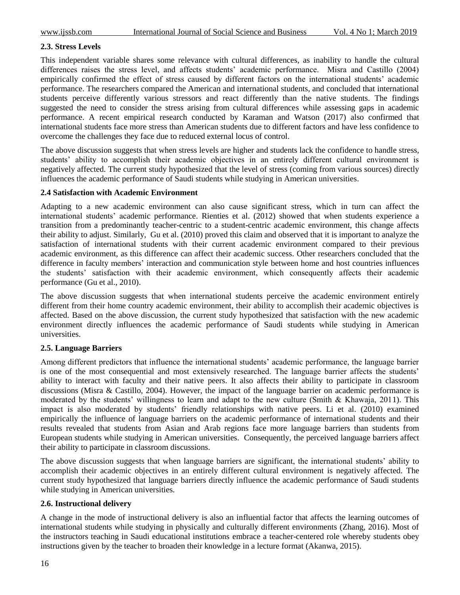# **2.3. Stress Levels**

This independent variable shares some relevance with cultural differences, as inability to handle the cultural differences raises the stress level, and affects students' academic performance. Misra and Castillo (2004) empirically confirmed the effect of stress caused by different factors on the international students' academic performance. The researchers compared the American and international students, and concluded that international students perceive differently various stressors and react differently than the native students. The findings suggested the need to consider the stress arising from cultural differences while assessing gaps in academic performance. A recent empirical research conducted by Karaman and Watson (2017) also confirmed that international students face more stress than American students due to different factors and have less confidence to overcome the challenges they face due to reduced external locus of control.

The above discussion suggests that when stress levels are higher and students lack the confidence to handle stress, students' ability to accomplish their academic objectives in an entirely different cultural environment is negatively affected. The current study hypothesized that the level of stress (coming from various sources) directly influences the academic performance of Saudi students while studying in American universities.

## **2.4 Satisfaction with Academic Environment**

Adapting to a new academic environment can also cause significant stress, which in turn can affect the international students' academic performance. Rienties et al. (2012) showed that when students experience a transition from a predominantly teacher-centric to a student-centric academic environment, this change affects their ability to adjust. Similarly, Gu et al. (2010) proved this claim and observed that it is important to analyze the satisfaction of international students with their current academic environment compared to their previous academic environment, as this difference can affect their academic success. Other researchers concluded that the difference in faculty members' interaction and communication style between home and host countries influences the students' satisfaction with their academic environment, which consequently affects their academic performance (Gu et al., 2010).

The above discussion suggests that when international students perceive the academic environment entirely different from their home country academic environment, their ability to accomplish their academic objectives is affected. Based on the above discussion, the current study hypothesized that satisfaction with the new academic environment directly influences the academic performance of Saudi students while studying in American universities.

## **2.5. Language Barriers**

Among different predictors that influence the international students' academic performance, the language barrier is one of the most consequential and most extensively researched. The language barrier affects the students' ability to interact with faculty and their native peers. It also affects their ability to participate in classroom discussions (Misra & Castillo, 2004). However, the impact of the language barrier on academic performance is moderated by the students' willingness to learn and adapt to the new culture (Smith & Khawaja, 2011). This impact is also moderated by students' friendly relationships with native peers. Li et al. (2010) examined empirically the influence of language barriers on the academic performance of international students and their results revealed that students from Asian and Arab regions face more language barriers than students from European students while studying in American universities. Consequently, the perceived language barriers affect their ability to participate in classroom discussions.

The above discussion suggests that when language barriers are significant, the international students' ability to accomplish their academic objectives in an entirely different cultural environment is negatively affected. The current study hypothesized that language barriers directly influence the academic performance of Saudi students while studying in American universities.

## **2.6. Instructional delivery**

A change in the mode of instructional delivery is also an influential factor that affects the learning outcomes of international students while studying in physically and culturally different environments (Zhang, 2016). Most of the instructors teaching in Saudi educational institutions embrace a teacher-centered role whereby students obey instructions given by the teacher to broaden their knowledge in a lecture format (Akanwa, 2015).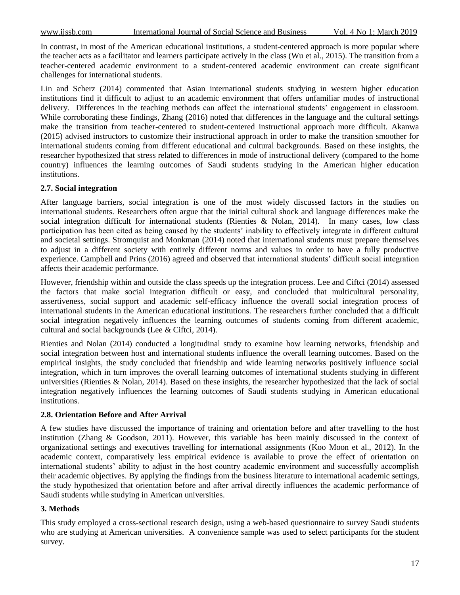In contrast, in most of the American educational institutions, a student-centered approach is more popular where the teacher acts as a facilitator and learners participate actively in the class (Wu et al., 2015). The transition from a teacher-centered academic environment to a student-centered academic environment can create significant challenges for international students.

Lin and Scherz (2014) commented that Asian international students studying in western higher education institutions find it difficult to adjust to an academic environment that offers unfamiliar modes of instructional delivery. Differences in the teaching methods can affect the international students' engagement in classroom. While corroborating these findings, Zhang (2016) noted that differences in the language and the cultural settings make the transition from teacher-centered to student-centered instructional approach more difficult. Akanwa (2015) advised instructors to customize their instructional approach in order to make the transition smoother for international students coming from different educational and cultural backgrounds. Based on these insights, the researcher hypothesized that stress related to differences in mode of instructional delivery (compared to the home country) influences the learning outcomes of Saudi students studying in the American higher education institutions.

# **2.7. Social integration**

After language barriers, social integration is one of the most widely discussed factors in the studies on international students. Researchers often argue that the initial cultural shock and language differences make the social integration difficult for international students (Rienties & Nolan, 2014). In many cases, low class participation has been cited as being caused by the students' inability to effectively integrate in different cultural and societal settings. Stromquist and Monkman (2014) noted that international students must prepare themselves to adjust in a different society with entirely different norms and values in order to have a fully productive experience. Campbell and Prins (2016) agreed and observed that international students' difficult social integration affects their academic performance.

However, friendship within and outside the class speeds up the integration process. Lee and Ciftci (2014) assessed the factors that make social integration difficult or easy, and concluded that multicultural personality, assertiveness, social support and academic self-efficacy influence the overall social integration process of international students in the American educational institutions. The researchers further concluded that a difficult social integration negatively influences the learning outcomes of students coming from different academic, cultural and social backgrounds (Lee & Ciftci, 2014).

Rienties and Nolan (2014) conducted a longitudinal study to examine how learning networks, friendship and social integration between host and international students influence the overall learning outcomes. Based on the empirical insights, the study concluded that friendship and wide learning networks positively influence social integration, which in turn improves the overall learning outcomes of international students studying in different universities (Rienties & Nolan, 2014). Based on these insights, the researcher hypothesized that the lack of social integration negatively influences the learning outcomes of Saudi students studying in American educational institutions.

## **2.8. Orientation Before and After Arrival**

A few studies have discussed the importance of training and orientation before and after travelling to the host institution (Zhang & Goodson, 2011). However, this variable has been mainly discussed in the context of organizational settings and executives travelling for international assignments (Koo Moon et al., 2012). In the academic context, comparatively less empirical evidence is available to prove the effect of orientation on international students' ability to adjust in the host country academic environment and successfully accomplish their academic objectives. By applying the findings from the business literature to international academic settings, the study hypothesized that orientation before and after arrival directly influences the academic performance of Saudi students while studying in American universities.

## **3. Methods**

This study employed a cross-sectional research design, using a web-based questionnaire to survey Saudi students who are studying at American universities. A convenience sample was used to select participants for the student survey.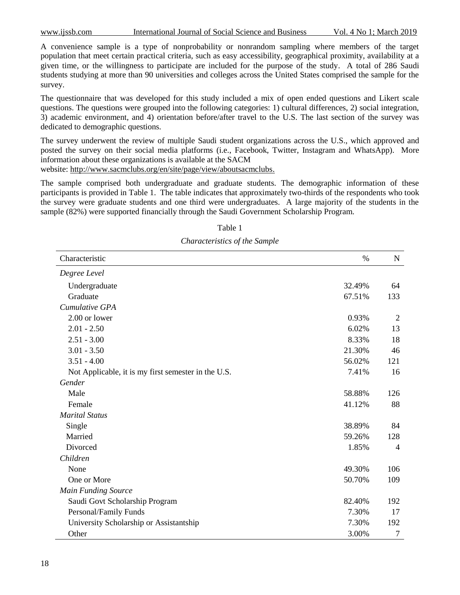A convenience sample is a type of nonprobability or nonrandom sampling where members of the target population that meet certain practical criteria, such as easy accessibility, geographical proximity, availability at a given time, or the willingness to participate are included for the purpose of the study. A total of 286 Saudi students studying at more than 90 universities and colleges across the United States comprised the sample for the survey.

The questionnaire that was developed for this study included a mix of open ended questions and Likert scale questions. The questions were grouped into the following categories: 1) cultural differences, 2) social integration, 3) academic environment, and 4) orientation before/after travel to the U.S. The last section of the survey was dedicated to demographic questions.

The survey underwent the review of multiple Saudi student organizations across the U.S., which approved and posted the survey on their social media platforms (i.e., Facebook, Twitter, Instagram and WhatsApp). More information about these organizations is available at the SACM

website: [http://www.sacmclubs.org/en/site/page/view/aboutsacmclubs.](http://www.sacmclubs.org/en/site/page/view/aboutsacmclubs)

The sample comprised both undergraduate and graduate students. The demographic information of these participants is provided in Table 1. The table indicates that approximately two-thirds of the respondents who took the survey were graduate students and one third were undergraduates. A large majority of the students in the sample (82%) were supported financially through the Saudi Government Scholarship Program.

| Characteristic                                      | $\%$   | $\mathbf N$    |
|-----------------------------------------------------|--------|----------------|
| Degree Level                                        |        |                |
| Undergraduate                                       | 32.49% | 64             |
| Graduate                                            | 67.51% | 133            |
| Cumulative GPA                                      |        |                |
| 2.00 or lower                                       | 0.93%  | $\overline{2}$ |
| $2.01 - 2.50$                                       | 6.02%  | 13             |
| $2.51 - 3.00$                                       | 8.33%  | 18             |
| $3.01 - 3.50$                                       | 21.30% | 46             |
| $3.51 - 4.00$                                       | 56.02% | 121            |
| Not Applicable, it is my first semester in the U.S. | 7.41%  | 16             |
| Gender                                              |        |                |
| Male                                                | 58.88% | 126            |
| Female                                              | 41.12% | 88             |
| <b>Marital Status</b>                               |        |                |
| Single                                              | 38.89% | 84             |
| Married                                             | 59.26% | 128            |
| Divorced                                            | 1.85%  | $\overline{4}$ |
| Children                                            |        |                |
| None                                                | 49.30% | 106            |
| One or More                                         | 50.70% | 109            |
| <b>Main Funding Source</b>                          |        |                |
| Saudi Govt Scholarship Program                      | 82.40% | 192            |
| Personal/Family Funds                               | 7.30%  | 17             |
| University Scholarship or Assistantship             | 7.30%  | 192            |
| Other                                               | 3.00%  | $\tau$         |

Table 1 *Characteristics of the Sample*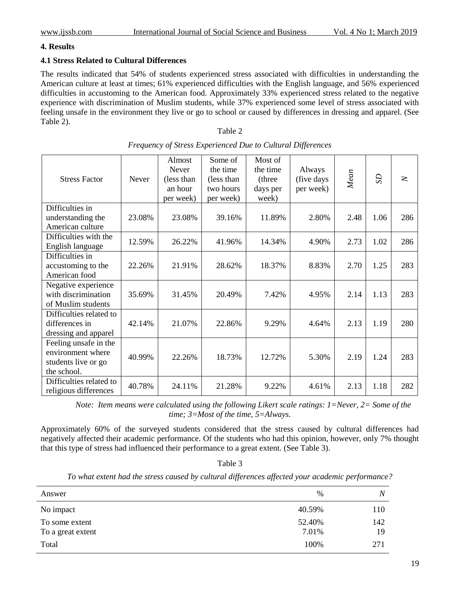## **4. Results**

# **4.1 Stress Related to Cultural Differences**

The results indicated that 54% of students experienced stress associated with difficulties in understanding the American culture at least at times; 61% experienced difficulties with the English language, and 56% experienced difficulties in accustoming to the American food. Approximately 33% experienced stress related to the negative experience with discrimination of Muslim students, while 37% experienced some level of stress associated with feeling unsafe in the environment they live or go to school or caused by differences in dressing and apparel. (See Table 2).

| ۱.<br>ИΙ<br>ı<br>t<br>۰. |
|--------------------------|
|--------------------------|

| <b>Stress Factor</b>                                                             | Never  | Almost<br><b>Never</b><br>(less than)<br>an hour<br>per week) | Some of<br>the time<br>(less than<br>two hours<br>per week) | Most of<br>the time<br>(three<br>days per<br>week) | Always<br>(five days<br>per week) | Mean | S <sub>2</sub> | $\geq$ |
|----------------------------------------------------------------------------------|--------|---------------------------------------------------------------|-------------------------------------------------------------|----------------------------------------------------|-----------------------------------|------|----------------|--------|
| Difficulties in<br>understanding the<br>American culture                         | 23.08% | 23.08%                                                        | 39.16%                                                      | 11.89%                                             | 2.80%                             | 2.48 | 1.06           | 286    |
| Difficulties with the<br>English language                                        | 12.59% | 26.22%                                                        | 41.96%                                                      | 14.34%                                             | 4.90%                             | 2.73 | 1.02           | 286    |
| Difficulties in<br>accustoming to the<br>American food                           | 22.26% | 21.91%                                                        | 28.62%                                                      | 18.37%                                             | 8.83%                             | 2.70 | 1.25           | 283    |
| Negative experience<br>with discrimination<br>of Muslim students                 | 35.69% | 31.45%                                                        | 20.49%                                                      | 7.42%                                              | 4.95%                             | 2.14 | 1.13           | 283    |
| Difficulties related to<br>differences in<br>dressing and apparel                | 42.14% | 21.07%                                                        | 22.86%                                                      | 9.29%                                              | 4.64%                             | 2.13 | 1.19           | 280    |
| Feeling unsafe in the<br>environment where<br>students live or go<br>the school. | 40.99% | 22.26%                                                        | 18.73%                                                      | 12.72%                                             | 5.30%                             | 2.19 | 1.24           | 283    |
| Difficulties related to<br>religious differences                                 | 40.78% | 24.11%                                                        | 21.28%                                                      | 9.22%                                              | 4.61%                             | 2.13 | 1.18           | 282    |

| Frequency of Stress Experienced Due to Cultural Differences |  |
|-------------------------------------------------------------|--|

*Note: Item means were calculated using the following Likert scale ratings: 1=Never, 2= Some of the time; 3=Most of the time, 5=Always.*

Approximately 60% of the surveyed students considered that the stress caused by cultural differences had negatively affected their academic performance. Of the students who had this opinion, however, only 7% thought that this type of stress had influenced their performance to a great extent. (See Table 3).

Table 3

*To what extent had the stress caused by cultural differences affected your academic performance?*

| Answer                              | $\%$            | N         |
|-------------------------------------|-----------------|-----------|
| No impact                           | 40.59%          | 110       |
| To some extent<br>To a great extent | 52.40%<br>7.01% | 142<br>19 |
| Total                               | 100%            | 271       |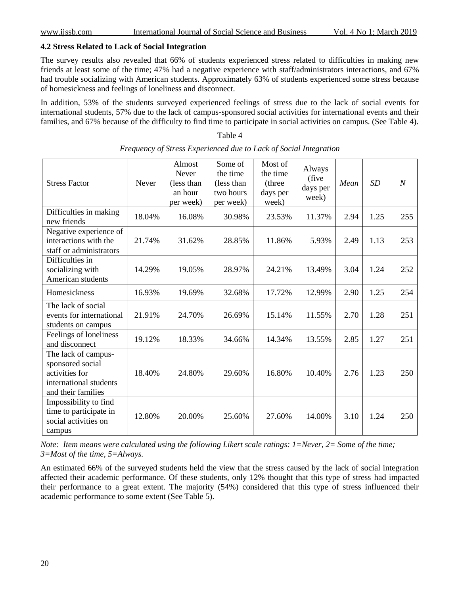## **4.2 Stress Related to Lack of Social Integration**

The survey results also revealed that 66% of students experienced stress related to difficulties in making new friends at least some of the time; 47% had a negative experience with staff/administrators interactions, and 67% had trouble socializing with American students. Approximately 63% of students experienced some stress because of homesickness and feelings of loneliness and disconnect.

In addition, 53% of the students surveyed experienced feelings of stress due to the lack of social events for international students, 57% due to the lack of campus-sponsored social activities for international events and their families, and 67% because of the difficulty to find time to participate in social activities on campus. (See Table 4).

#### Stress Factor Never Almost Never (less than an hour per week) Some of the time (less than two hours per week) Most of the time (three days per week) Always (five days per week) *Mean SD N* Difficulties in making Differenties in making 18.04% 16.08% 30.98% 23.53% 11.37% 2.94 1.25 255 Negative experience of interactions with the staff or administrators 21.74% 31.62% 28.85% 11.86% 5.93% 2.49 1.13 253 Difficulties in socializing with American students 14.29% 19.05% 28.97% 24.21% 13.49% 3.04 1.24 252 Homesickness 16.93% 19.69% 32.68% 17.72% 12.99% 2.90 1.25 254 The lack of social events for international students on campus 21.91% 24.70% 26.69% 15.14% 11.55% 2.70 1.28 251 Feelings of loneliness reemigs of folientiess  $19.12\%$  18.33% 34.66% 14.34% 13.55% 2.85 1.27 251 The lack of campussponsored social activities for international students and their families 18.40% 24.80% 29.60% 16.80% 10.40% 2.76 1.23 250 Impossibility to find time to participate in social activities on campus 12.80% 20.00% 25.60% 27.60% 14.00% 3.10 1.24 250

| Table 4                                                           |
|-------------------------------------------------------------------|
| Frequency of Stress Experienced due to Lack of Social Integration |

*Note: Item means were calculated using the following Likert scale ratings: 1=Never, 2= Some of the time; 3=Most of the time, 5=Always.* 

An estimated 66% of the surveyed students held the view that the stress caused by the lack of social integration affected their academic performance. Of these students, only 12% thought that this type of stress had impacted their performance to a great extent. The majority (54%) considered that this type of stress influenced their academic performance to some extent (See Table 5).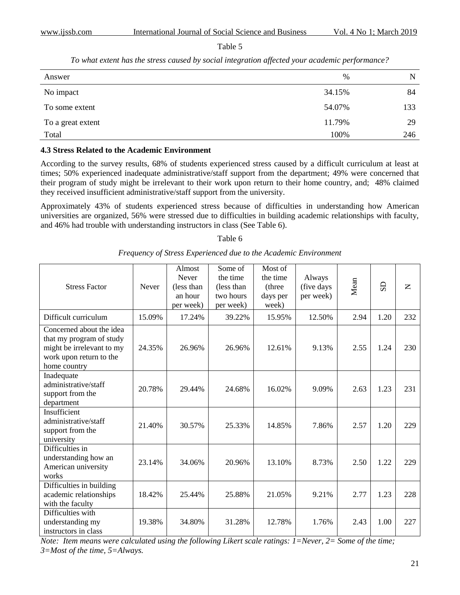#### Table 5

*To what extent has the stress caused by social integration affected your academic performance?*

| Answer            | %      | N   |
|-------------------|--------|-----|
| No impact         | 34.15% | 84  |
| To some extent    | 54.07% | 133 |
| To a great extent | 11.79% | 29  |
| Total             | 100%   | 246 |

#### **4.3 Stress Related to the Academic Environment**

According to the survey results, 68% of students experienced stress caused by a difficult curriculum at least at times; 50% experienced inadequate administrative/staff support from the department; 49% were concerned that their program of study might be irrelevant to their work upon return to their home country, and; 48% claimed they received insufficient administrative/staff support from the university.

Approximately 43% of students experienced stress because of difficulties in understanding how American universities are organized, 56% were stressed due to difficulties in building academic relationships with faculty, and 46% had trouble with understanding instructors in class (See Table 6).

#### Table 6

| <b>Stress Factor</b>                                                                                                         | Never  | Almost<br><b>Never</b><br>(less than<br>an hour<br>per week) | Some of<br>the time<br>(less than)<br>two hours<br>per week) | Most of<br>the time<br>(three)<br>days per<br>week) | Always<br>(five days<br>per week) | Mean | $\overline{S}$ | $\mathbf{Z}$ |
|------------------------------------------------------------------------------------------------------------------------------|--------|--------------------------------------------------------------|--------------------------------------------------------------|-----------------------------------------------------|-----------------------------------|------|----------------|--------------|
| Difficult curriculum                                                                                                         | 15.09% | 17.24%                                                       | 39.22%                                                       | 15.95%                                              | 12.50%                            | 2.94 | 1.20           | 232          |
| Concerned about the idea<br>that my program of study<br>might be irrelevant to my<br>work upon return to the<br>home country | 24.35% | 26.96%                                                       | 26.96%                                                       | 12.61%                                              | 9.13%                             | 2.55 | 1.24           | 230          |
| Inadequate<br>administrative/staff<br>support from the<br>department                                                         | 20.78% | 29.44%                                                       | 24.68%                                                       | 16.02%                                              | 9.09%                             | 2.63 | 1.23           | 231          |
| Insufficient<br>administrative/staff<br>support from the<br>university                                                       | 21.40% | 30.57%                                                       | 25.33%                                                       | 14.85%                                              | 7.86%                             | 2.57 | 1.20           | 229          |
| Difficulties in<br>understanding how an<br>American university<br>works                                                      | 23.14% | 34.06%                                                       | 20.96%                                                       | 13.10%                                              | 8.73%                             | 2.50 | 1.22           | 229          |
| Difficulties in building<br>academic relationships<br>with the faculty                                                       | 18.42% | 25.44%                                                       | 25.88%                                                       | 21.05%                                              | 9.21%                             | 2.77 | 1.23           | 228          |
| Difficulties with<br>understanding my<br>instructors in class                                                                | 19.38% | 34.80%                                                       | 31.28%                                                       | 12.78%                                              | 1.76%                             | 2.43 | 1.00           | 227          |

*Frequency of Stress Experienced due to the Academic Environment*

*Note: Item means were calculated using the following Likert scale ratings: 1=Never, 2= Some of the time; 3=Most of the time, 5=Always.*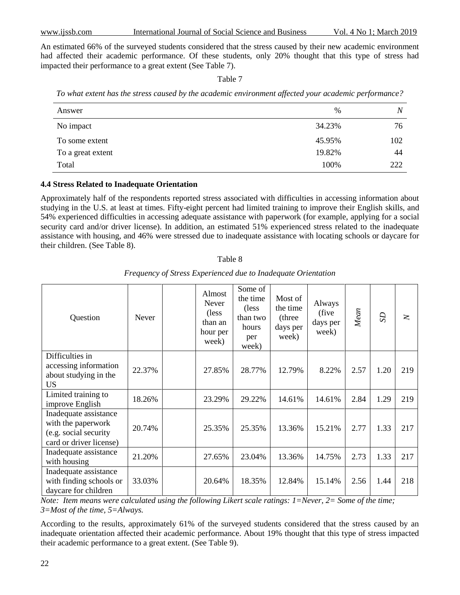An estimated 66% of the surveyed students considered that the stress caused by their new academic environment had affected their academic performance. Of these students, only 20% thought that this type of stress had impacted their performance to a great extent (See Table 7).

Table 7

| To what extent has the stress caused by the academic environment affected your academic performance? |  |  |
|------------------------------------------------------------------------------------------------------|--|--|
|                                                                                                      |  |  |
|                                                                                                      |  |  |
|                                                                                                      |  |  |

| Answer            | $\%$   | N   |
|-------------------|--------|-----|
| No impact         | 34.23% | 76  |
| To some extent    | 45.95% | 102 |
| To a great extent | 19.82% | 44  |
| Total             | 100%   | 222 |

# **4.4 Stress Related to Inadequate Orientation**

Approximately half of the respondents reported stress associated with difficulties in accessing information about studying in the U.S. at least at times. Fifty-eight percent had limited training to improve their English skills, and 54% experienced difficulties in accessing adequate assistance with paperwork (for example, applying for a social security card and/or driver license). In addition, an estimated 51% experienced stress related to the inadequate assistance with housing, and 46% were stressed due to inadequate assistance with locating schools or daycare for their children. (See Table 8).

| Question                                                                                        | <b>Never</b> | Almost<br><b>Never</b><br>(less)<br>than an<br>hour per<br>week) | Some of<br>the time<br>(less)<br>than two<br>hours<br>per<br>week) | Most of<br>the time<br>(three<br>days per<br>week) | Always<br>(five)<br>days per<br>week) | Mean | S <sub>D</sub> | $\geq$ |
|-------------------------------------------------------------------------------------------------|--------------|------------------------------------------------------------------|--------------------------------------------------------------------|----------------------------------------------------|---------------------------------------|------|----------------|--------|
| Difficulties in                                                                                 |              |                                                                  |                                                                    |                                                    |                                       |      |                |        |
| accessing information<br>about studying in the<br><b>US</b>                                     | 22.37%       | 27.85%                                                           | 28.77%                                                             | 12.79%                                             | 8.22%                                 | 2.57 | 1.20           | 219    |
| Limited training to<br>improve English                                                          | 18.26%       | 23.29%                                                           | 29.22%                                                             | 14.61%                                             | 14.61%                                | 2.84 | 1.29           | 219    |
| Inadequate assistance<br>with the paperwork<br>(e.g. social security<br>card or driver license) | 20.74%       | 25.35%                                                           | 25.35%                                                             | 13.36%                                             | 15.21%                                | 2.77 | 1.33           | 217    |
| Inadequate assistance<br>with housing                                                           | 21.20%       | 27.65%                                                           | 23.04%                                                             | 13.36%                                             | 14.75%                                | 2.73 | 1.33           | 217    |
| Inadequate assistance<br>with finding schools or<br>daycare for children                        | 33.03%       | 20.64%                                                           | 18.35%                                                             | 12.84%                                             | 15.14%                                | 2.56 | 1.44           | 218    |

*Frequency of Stress Experienced due to Inadequate Orientation*

Table 8

*Note: Item means were calculated using the following Likert scale ratings: 1=Never, 2= Some of the time; 3=Most of the time, 5=Always.* 

According to the results, approximately 61% of the surveyed students considered that the stress caused by an inadequate orientation affected their academic performance. About 19% thought that this type of stress impacted their academic performance to a great extent. (See Table 9).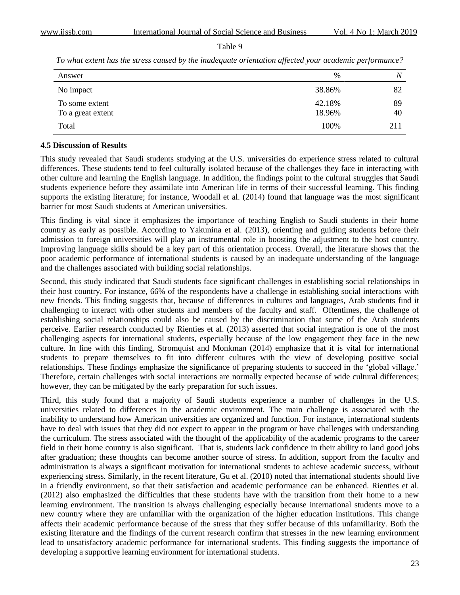Table 9

*To what extent has the stress caused by the inadequate orientation affected your academic performance?*

| Answer            | %      |     |
|-------------------|--------|-----|
| No impact         | 38.86% | 82  |
| To some extent    | 42.18% | 89  |
| To a great extent | 18.96% | 40  |
| Total             | 100%   | 211 |

#### **4.5 Discussion of Results**

This study revealed that Saudi students studying at the U.S. universities do experience stress related to cultural differences. These students tend to feel culturally isolated because of the challenges they face in interacting with other culture and learning the English language. In addition, the findings point to the cultural struggles that Saudi students experience before they assimilate into American life in terms of their successful learning. This finding supports the existing literature; for instance, Woodall et al. (2014) found that language was the most significant barrier for most Saudi students at American universities.

This finding is vital since it emphasizes the importance of teaching English to Saudi students in their home country as early as possible. According to Yakunina et al. (2013), orienting and guiding students before their admission to foreign universities will play an instrumental role in boosting the adjustment to the host country. Improving language skills should be a key part of this orientation process. Overall, the literature shows that the poor academic performance of international students is caused by an inadequate understanding of the language and the challenges associated with building social relationships.

Second, this study indicated that Saudi students face significant challenges in establishing social relationships in their host country. For instance, 66% of the respondents have a challenge in establishing social interactions with new friends. This finding suggests that, because of differences in cultures and languages, Arab students find it challenging to interact with other students and members of the faculty and staff. Oftentimes, the challenge of establishing social relationships could also be caused by the discrimination that some of the Arab students perceive. Earlier research conducted by Rienties et al. (2013) asserted that social integration is one of the most challenging aspects for international students, especially because of the low engagement they face in the new culture. In line with this finding, Stromquist and Monkman (2014) emphasize that it is vital for international students to prepare themselves to fit into different cultures with the view of developing positive social relationships. These findings emphasize the significance of preparing students to succeed in the 'global village.' Therefore, certain challenges with social interactions are normally expected because of wide cultural differences; however, they can be mitigated by the early preparation for such issues.

Third, this study found that a majority of Saudi students experience a number of challenges in the U.S. universities related to differences in the academic environment. The main challenge is associated with the inability to understand how American universities are organized and function. For instance, international students have to deal with issues that they did not expect to appear in the program or have challenges with understanding the curriculum. The stress associated with the thought of the applicability of the academic programs to the career field in their home country is also significant. That is, students lack confidence in their ability to land good jobs after graduation; these thoughts can become another source of stress. In addition, support from the faculty and administration is always a significant motivation for international students to achieve academic success, without experiencing stress. Similarly, in the recent literature, Gu et al. (2010) noted that international students should live in a friendly environment, so that their satisfaction and academic performance can be enhanced. Rienties et al. (2012) also emphasized the difficulties that these students have with the transition from their home to a new learning environment. The transition is always challenging especially because international students move to a new country where they are unfamiliar with the organization of the higher education institutions. This change affects their academic performance because of the stress that they suffer because of this unfamiliarity. Both the existing literature and the findings of the current research confirm that stresses in the new learning environment lead to unsatisfactory academic performance for international students. This finding suggests the importance of developing a supportive learning environment for international students.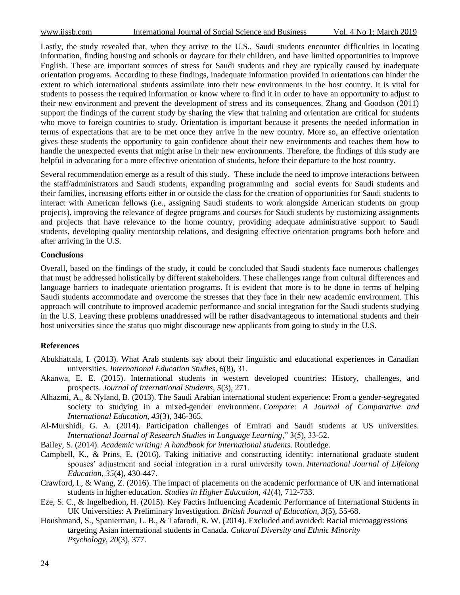Lastly, the study revealed that, when they arrive to the U.S., Saudi students encounter difficulties in locating information, finding housing and schools or daycare for their children, and have limited opportunities to improve English. These are important sources of stress for Saudi students and they are typically caused by inadequate orientation programs. According to these findings, inadequate information provided in orientations can hinder the extent to which international students assimilate into their new environments in the host country. It is vital for students to possess the required information or know where to find it in order to have an opportunity to adjust to their new environment and prevent the development of stress and its consequences. Zhang and Goodson (2011) support the findings of the current study by sharing the view that training and orientation are critical for students who move to foreign countries to study. Orientation is important because it presents the needed information in terms of expectations that are to be met once they arrive in the new country. More so, an effective orientation gives these students the opportunity to gain confidence about their new environments and teaches them how to handle the unexpected events that might arise in their new environments. Therefore, the findings of this study are helpful in advocating for a more effective orientation of students, before their departure to the host country.

Several recommendation emerge as a result of this study. These include the need to improve interactions between the staff/administrators and Saudi students, expanding programming and social events for Saudi students and their families, increasing efforts either in or outside the class for the creation of opportunities for Saudi students to interact with American fellows (i.e., assigning Saudi students to work alongside American students on group projects), improving the relevance of degree programs and courses for Saudi students by customizing assignments and projects that have relevance to the home country, providing adequate administrative support to Saudi students, developing quality mentorship relations, and designing effective orientation programs both before and after arriving in the U.S.

#### **Conclusions**

Overall, based on the findings of the study, it could be concluded that Saudi students face numerous challenges that must be addressed holistically by different stakeholders. These challenges range from cultural differences and language barriers to inadequate orientation programs. It is evident that more is to be done in terms of helping Saudi students accommodate and overcome the stresses that they face in their new academic environment. This approach will contribute to improved academic performance and social integration for the Saudi students studying in the U.S. Leaving these problems unaddressed will be rather disadvantageous to international students and their host universities since the status quo might discourage new applicants from going to study in the U.S.

## **References**

- Abukhattala, I. (2013). What Arab students say about their linguistic and educational experiences in Canadian universities. *International Education Studies*, *6*(8), 31.
- Akanwa, E. E. (2015). International students in western developed countries: History, challenges, and prospects. *Journal of International Students*, *5*(3), 271.
- Alhazmi, A., & Nyland, B. (2013). The Saudi Arabian international student experience: From a gender-segregated society to studying in a mixed-gender environment. *Compare: A Journal of Comparative and International Education*, *43*(3), 346-365.

Al-Murshidi, G. A. (2014). Participation challenges of Emirati and Saudi students at US universities. *International Journal of Research Studies in Language Learning*," 3(5), 33-52.

- Bailey, S. (2014). *Academic writing: A handbook for international students*. Routledge.
- Campbell, K., & Prins, E. (2016). Taking initiative and constructing identity: international graduate student spouses' adjustment and social integration in a rural university town. *International Journal of Lifelong Education*, *35*(4), 430-447.
- Crawford, I., & Wang, Z. (2016). The impact of placements on the academic performance of UK and international students in higher education. *Studies in Higher Education*, *41*(4), 712-733.
- Eze, S. C., & Ingelbedion, H. (2015). Key Factirs Influencing Academic Performance of International Students in UK Universities: A Preliminary Investigation. *British Journal of Education*, *3*(5), 55-68.
- Houshmand, S., Spanierman, L. B., & Tafarodi, R. W. (2014). Excluded and avoided: Racial microaggressions targeting Asian international students in Canada. *Cultural Diversity and Ethnic Minority Psychology*, *20*(3), 377.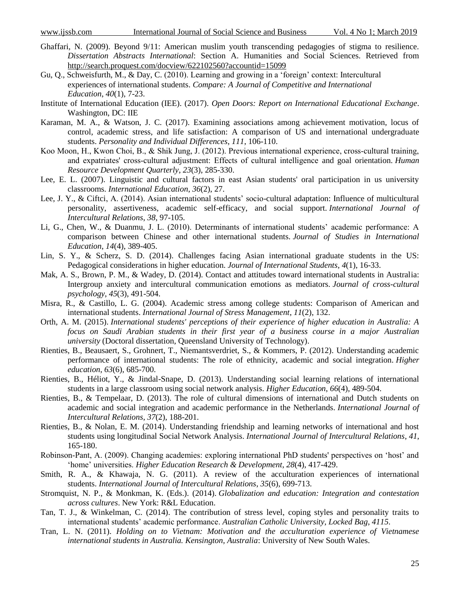- Ghaffari, N. (2009). Beyond 9/11: American muslim youth transcending pedagogies of stigma to resilience. *Dissertation Abstracts International*: Section A. Humanities and Social Sciences. Retrieved from <http://search.proquest.com/docview/622102560?accountid=15099>
- Gu, Q., Schweisfurth, M., & Day, C. (2010). Learning and growing in a 'foreign' context: Intercultural experiences of international students. *Compare: A Journal of Competitive and International Education*, *40*(1), 7-23.
- Institute of International Education (IEE). (2017). *Open Doors: Report on International Educational Exchange*. Washington, DC: IIE
- Karaman, M. A., & Watson, J. C. (2017). Examining associations among achievement motivation, locus of control, academic stress, and life satisfaction: A comparison of US and international undergraduate students. *Personality and Individual Differences*, *111*, 106-110.
- Koo Moon, H., Kwon Choi, B., & Shik Jung, J. (2012). Previous international experience, cross-cultural training, and expatriates' cross‐cultural adjustment: Effects of cultural intelligence and goal orientation. *Human Resource Development Quarterly*, *23*(3), 285-330.
- Lee, E. L. (2007). Linguistic and cultural factors in east Asian students' oral participation in us university classrooms. *International Education*, *36*(2), 27.
- Lee, J. Y., & Ciftci, A. (2014). Asian international students' socio-cultural adaptation: Influence of multicultural personality, assertiveness, academic self-efficacy, and social support. *International Journal of Intercultural Relations*, *38*, 97-105.
- Li, G., Chen, W., & Duanmu, J. L. (2010). Determinants of international students' academic performance: A comparison between Chinese and other international students. *Journal of Studies in International Education*, *14*(4), 389-405.
- Lin, S. Y., & Scherz, S. D. (2014). Challenges facing Asian international graduate students in the US: Pedagogical considerations in higher education. *Journal of International Students*, *4*(1), 16-33.
- Mak, A. S., Brown, P. M., & Wadey, D. (2014). Contact and attitudes toward international students in Australia: Intergroup anxiety and intercultural communication emotions as mediators. *Journal of cross-cultural psychology*, *45*(3), 491-504.
- Misra, R., & Castillo, L. G. (2004). Academic stress among college students: Comparison of American and international students. *International Journal of Stress Management*, *11*(2), 132.
- Orth, A. M. (2015). *International students' perceptions of their experience of higher education in Australia: A focus on Saudi Arabian students in their first year of a business course in a major Australian university* (Doctoral dissertation, Queensland University of Technology).
- Rienties, B., Beausaert, S., Grohnert, T., Niemantsverdriet, S., & Kommers, P. (2012). Understanding academic performance of international students: The role of ethnicity, academic and social integration. *Higher education*, *63*(6), 685-700.
- Rienties, B., Héliot, Y., & Jindal-Snape, D. (2013). Understanding social learning relations of international students in a large classroom using social network analysis. *Higher Education*, *66*(4), 489-504.
- Rienties, B., & Tempelaar, D. (2013). The role of cultural dimensions of international and Dutch students on academic and social integration and academic performance in the Netherlands. *International Journal of Intercultural Relations*, *37*(2), 188-201.
- Rienties, B., & Nolan, E. M. (2014). Understanding friendship and learning networks of international and host students using longitudinal Social Network Analysis. *International Journal of Intercultural Relations*, *41*, 165-180.
- Robinson‐Pant, A. (2009). Changing academies: exploring international PhD students' perspectives on 'host' and 'home' universities. *Higher Education Research & Development*, *28*(4), 417-429.
- Smith, R. A., & Khawaja, N. G. (2011). A review of the acculturation experiences of international students. *International Journal of Intercultural Relations*, *35*(6), 699-713.
- Stromquist, N. P., & Monkman, K. (Eds.). (2014). *Globalization and education: Integration and contestation across cultures*. New York: R&L Education.
- Tan, T. J., & Winkelman, C. (2014). The contribution of stress level, coping styles and personality traits to international students' academic performance. *Australian Catholic University, Locked Bag*, *4115*.
- Tran, L. N. (2011). *Holding on to Vietnam: Motivation and the acculturation experience of Vietnamese international students in Australia. Kensington, Australia*: University of New South Wales.